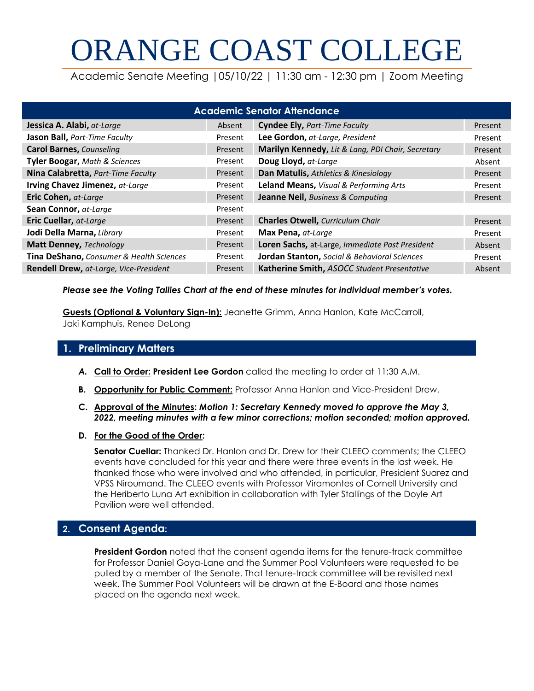# ORANGE COAST COLLEGE

Academic Senate Meeting |05/10/22 | 11:30 am - 12:30 pm | Zoom Meeting

| <b>Academic Senator Attendance</b>       |         |                                                   |         |  |  |  |  |  |  |
|------------------------------------------|---------|---------------------------------------------------|---------|--|--|--|--|--|--|
| Jessica A. Alabi, at-Large               | Absent  | Cyndee Ely, Part-Time Faculty                     | Present |  |  |  |  |  |  |
| Jason Ball, Part-Time Faculty            | Present | Lee Gordon, at-Large, President                   | Present |  |  |  |  |  |  |
| <b>Carol Barnes, Counseling</b>          | Present | Marilyn Kennedy, Lit & Lang, PDI Chair, Secretary | Present |  |  |  |  |  |  |
| <b>Tyler Boogar, Math &amp; Sciences</b> | Present | Doug Lloyd, at-Large                              | Absent  |  |  |  |  |  |  |
| Nina Calabretta, Part-Time Faculty       | Present | Dan Matulis, Athletics & Kinesiology              | Present |  |  |  |  |  |  |
| Irving Chavez Jimenez, at-Large          | Present | <b>Leland Means, Visual &amp; Performing Arts</b> | Present |  |  |  |  |  |  |
| Eric Cohen, at-Large                     | Present | Jeanne Neil, Business & Computing                 | Present |  |  |  |  |  |  |
| Sean Connor, at-Large                    | Present |                                                   |         |  |  |  |  |  |  |
| <b>Eric Cuellar, at-Large</b>            | Present | <b>Charles Otwell, Curriculum Chair</b>           | Present |  |  |  |  |  |  |
| Jodi Della Marna, Library                | Present | Max Pena, at-Large                                | Present |  |  |  |  |  |  |
| <b>Matt Denney, Technology</b>           | Present | Loren Sachs, at-Large, Immediate Past President   | Absent  |  |  |  |  |  |  |
| Tina DeShano, Consumer & Health Sciences | Present | Jordan Stanton, Social & Behavioral Sciences      | Present |  |  |  |  |  |  |
| Rendell Drew, at-Large, Vice-President   | Present | Katherine Smith, ASOCC Student Presentative       | Absent  |  |  |  |  |  |  |

### *Please see the Voting Tallies Chart at the end of these minutes for individual member's votes.*

**Guests (Optional & Voluntary Sign-In):** Jeanette Grimm, Anna Hanlon, Kate McCarroll, Jaki Kamphuis, Renee DeLong

## **1. Preliminary Matters**

- *A.* **Call to Order: President Lee Gordon** called the meeting to order at 11:30 A.M.
- **B. Opportunity for Public Comment:** Professor Anna Hanlon and Vice-President Drew.
- **C. Approval of the Minutes:** *Motion 1: Secretary Kennedy moved to approve the May 3, 2022, meeting minutes with a few minor corrections; motion seconded; motion approved.*
- **D. For the Good of the Order:**

**Senator Cuellar:** Thanked Dr. Hanlon and Dr. Drew for their CLEEO comments; the CLEEO events have concluded for this year and there were three events in the last week. He thanked those who were involved and who attended, in particular, President Suarez and VPSS Niroumand. The CLEEO events with Professor Viramontes of Cornell University and the Heriberto Luna Art exhibition in collaboration with Tyler Stallings of the Doyle Art Pavilion were well attended.

# **2. Consent Agenda:**

**President Gordon** noted that the consent agenda items for the tenure-track committee for Professor Daniel Goya-Lane and the Summer Pool Volunteers were requested to be pulled by a member of the Senate. That tenure-track committee will be revisited next week. The Summer Pool Volunteers will be drawn at the E-Board and those names placed on the agenda next week.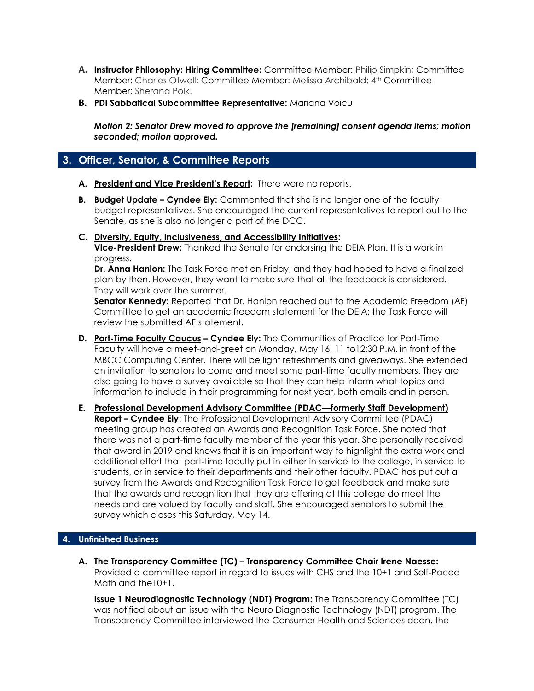- **A. Instructor Philosophy: Hiring Committee:** Committee Member: Philip Simpkin; Committee Member: Charles Otwell; Committee Member: Melissa Archibald; 4th Committee Member: Sherana Polk.
- **B. PDI Sabbatical Subcommittee Representative:** Mariana Voicu

*Motion 2: Senator Drew moved to approve the [remaining] consent agenda items; motion seconded; motion approved.*

## **3. Officer, Senator, & Committee Reports**

- **A. President and Vice President's Report:** There were no reports.
- **B. Budget Update – Cyndee Ely:** Commented that she is no longer one of the faculty budget representatives. She encouraged the current representatives to report out to the Senate, as she is also no longer a part of the DCC.
- **C. Diversity, Equity, Inclusiveness, and Accessibility Initiatives: Vice-President Drew:** Thanked the Senate for endorsing the DEIA Plan. It is a work in progress.

**Dr. Anna Hanlon:** The Task Force met on Friday, and they had hoped to have a finalized plan by then. However, they want to make sure that all the feedback is considered. They will work over the summer.

**Senator Kennedy:** Reported that Dr. Hanlon reached out to the Academic Freedom (AF) Committee to get an academic freedom statement for the DEIA; the Task Force will review the submitted AF statement.

- **D. Part-Time Faculty Caucus – Cyndee Ely:** The Communities of Practice for Part-Time Faculty will have a meet-and-greet on Monday, May 16, 11 to12:30 P.M. in front of the MBCC Computing Center. There will be light refreshments and giveaways. She extended an invitation to senators to come and meet some part-time faculty members. They are also going to have a survey available so that they can help inform what topics and information to include in their programming for next year, both emails and in person.
- **E. Professional Development Advisory Committee (PDAC—formerly Staff Development) Report – Cyndee Ely**: The Professional Development Advisory Committee (PDAC) meeting group has created an Awards and Recognition Task Force. She noted that there was not a part-time faculty member of the year this year. She personally received that award in 2019 and knows that it is an important way to highlight the extra work and additional effort that part-time faculty put in either in service to the college, in service to students, or in service to their departments and their other faculty. PDAC has put out a survey from the Awards and Recognition Task Force to get feedback and make sure that the awards and recognition that they are offering at this college do meet the needs and are valued by faculty and staff. She encouraged senators to submit the survey which closes this Saturday, May 14.

## **4. Unfinished Business**

**A. The Transparency Committee (TC) – Transparency Committee Chair Irene Naesse:** Provided a committee report in regard to issues with CHS and the 10+1 and Self-Paced Math and the10+1.

**Issue 1 Neurodiagnostic Technology (NDT) Program:** The Transparency Committee (TC) was notified about an issue with the Neuro Diagnostic Technology (NDT) program. The Transparency Committee interviewed the Consumer Health and Sciences dean, the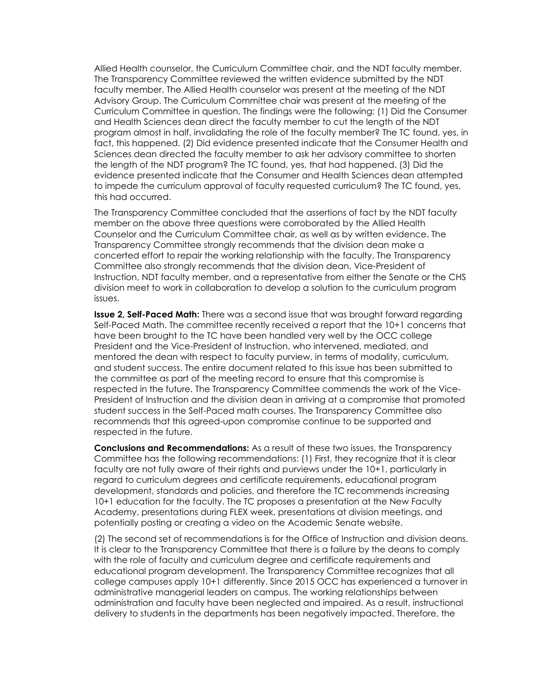Allied Health counselor, the Curriculum Committee chair, and the NDT faculty member. The Transparency Committee reviewed the written evidence submitted by the NDT faculty member. The Allied Health counselor was present at the meeting of the NDT Advisory Group. The Curriculum Committee chair was present at the meeting of the Curriculum Committee in question. The findings were the following: (1) Did the Consumer and Health Sciences dean direct the faculty member to cut the length of the NDT program almost in half, invalidating the role of the faculty member? The TC found, yes, in fact, this happened. (2) Did evidence presented indicate that the Consumer Health and Sciences dean directed the faculty member to ask her advisory committee to shorten the length of the NDT program? The TC found, yes, that had happened. (3) Did the evidence presented indicate that the Consumer and Health Sciences dean attempted to impede the curriculum approval of faculty requested curriculum? The TC found, yes, this had occurred.

The Transparency Committee concluded that the assertions of fact by the NDT faculty member on the above three questions were corroborated by the Allied Health Counselor and the Curriculum Committee chair, as well as by written evidence. The Transparency Committee strongly recommends that the division dean make a concerted effort to repair the working relationship with the faculty. The Transparency Committee also strongly recommends that the division dean, Vice-President of Instruction, NDT faculty member, and a representative from either the Senate or the CHS division meet to work in collaboration to develop a solution to the curriculum program issues.

**Issue 2, Self-Paced Math:** There was a second issue that was brought forward regarding Self-Paced Math. The committee recently received a report that the 10+1 concerns that have been brought to the TC have been handled very well by the OCC college President and the Vice-President of Instruction, who intervened, mediated, and mentored the dean with respect to faculty purview, in terms of modality, curriculum, and student success. The entire document related to this issue has been submitted to the committee as part of the meeting record to ensure that this compromise is respected in the future. The Transparency Committee commends the work of the Vice-President of Instruction and the division dean in arriving at a compromise that promoted student success in the Self-Paced math courses. The Transparency Committee also recommends that this agreed-upon compromise continue to be supported and respected in the future.

**Conclusions and Recommendations:** As a result of these two issues, the Transparency Committee has the following recommendations: (1) First, they recognize that it is clear faculty are not fully aware of their rights and purviews under the 10+1, particularly in regard to curriculum degrees and certificate requirements, educational program development, standards and policies, and therefore the TC recommends increasing 10+1 education for the faculty. The TC proposes a presentation at the New Faculty Academy, presentations during FLEX week, presentations at division meetings, and potentially posting or creating a video on the Academic Senate website.

(2) The second set of recommendations is for the Office of Instruction and division deans. It is clear to the Transparency Committee that there is a failure by the deans to comply with the role of faculty and curriculum degree and certificate requirements and educational program development. The Transparency Committee recognizes that all college campuses apply 10+1 differently. Since 2015 OCC has experienced a turnover in administrative managerial leaders on campus. The working relationships between administration and faculty have been neglected and impaired. As a result, instructional delivery to students in the departments has been negatively impacted. Therefore, the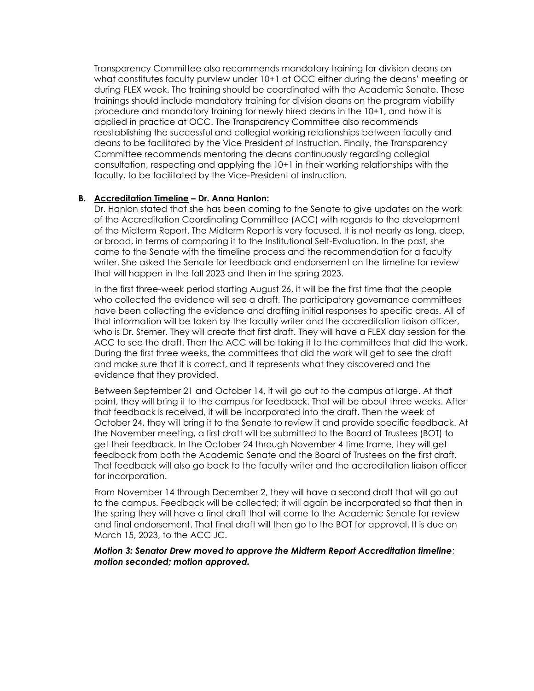Transparency Committee also recommends mandatory training for division deans on what constitutes faculty purview under 10+1 at OCC either during the deans' meeting or during FLEX week. The training should be coordinated with the Academic Senate. These trainings should include mandatory training for division deans on the program viability procedure and mandatory training for newly hired deans in the 10+1, and how it is applied in practice at OCC. The Transparency Committee also recommends reestablishing the successful and collegial working relationships between faculty and deans to be facilitated by the Vice President of Instruction. Finally, the Transparency Committee recommends mentoring the deans continuously regarding collegial consultation, respecting and applying the 10+1 in their working relationships with the faculty, to be facilitated by the Vice-President of instruction.

### **B. Accreditation Timeline – Dr. Anna Hanlon:**

Dr. Hanlon stated that she has been coming to the Senate to give updates on the work of the Accreditation Coordinating Committee (ACC) with regards to the development of the Midterm Report. The Midterm Report is very focused. It is not nearly as long, deep, or broad, in terms of comparing it to the Institutional Self-Evaluation. In the past, she came to the Senate with the timeline process and the recommendation for a faculty writer. She asked the Senate for feedback and endorsement on the timeline for review that will happen in the fall 2023 and then in the spring 2023.

In the first three-week period starting August 26, it will be the first time that the people who collected the evidence will see a draft. The participatory governance committees have been collecting the evidence and drafting initial responses to specific areas. All of that information will be taken by the faculty writer and the accreditation liaison officer, who is Dr. Sterner. They will create that first draft. They will have a FLEX day session for the ACC to see the draft. Then the ACC will be taking it to the committees that did the work. During the first three weeks, the committees that did the work will get to see the draft and make sure that it is correct, and it represents what they discovered and the evidence that they provided.

Between September 21 and October 14, it will go out to the campus at large. At that point, they will bring it to the campus for feedback. That will be about three weeks. After that feedback is received, it will be incorporated into the draft. Then the week of October 24, they will bring it to the Senate to review it and provide specific feedback. At the November meeting, a first draft will be submitted to the Board of Trustees (BOT) to get their feedback. In the October 24 through November 4 time frame, they will get feedback from both the Academic Senate and the Board of Trustees on the first draft. That feedback will also go back to the faculty writer and the accreditation liaison officer for incorporation.

From November 14 through December 2, they will have a second draft that will go out to the campus. Feedback will be collected; it will again be incorporated so that then in the spring they will have a final draft that will come to the Academic Senate for review and final endorsement. That final draft will then go to the BOT for approval. It is due on March 15, 2023, to the ACC JC.

#### *Motion 3: Senator Drew moved to approve the Midterm Report Accreditation timeline*; *motion seconded; motion approved.*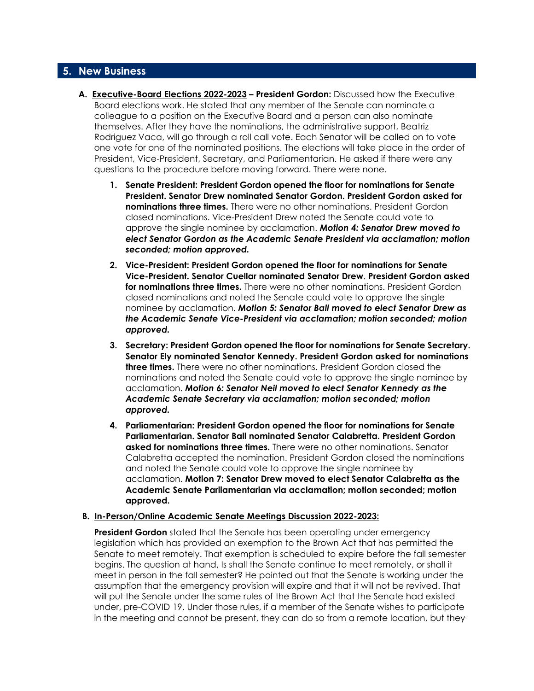## **5. New Business**

- **A. Executive-Board Elections 2022-2023 – President Gordon:** Discussed how the Executive Board elections work. He stated that any member of the Senate can nominate a colleague to a position on the Executive Board and a person can also nominate themselves. After they have the nominations, the administrative support, Beatriz Rodriguez Vaca, will go through a roll call vote. Each Senator will be called on to vote one vote for one of the nominated positions. The elections will take place in the order of President, Vice-President, Secretary, and Parliamentarian. He asked if there were any questions to the procedure before moving forward. There were none.
	- **1. Senate President: President Gordon opened the floor for nominations for Senate President. Senator Drew nominated Senator Gordon. President Gordon asked for nominations three times.** There were no other nominations. President Gordon closed nominations. Vice-President Drew noted the Senate could vote to approve the single nominee by acclamation. *Motion 4: Senator Drew moved to elect Senator Gordon as the Academic Senate President via acclamation; motion seconded; motion approved.*
	- **2. Vice-President: President Gordon opened the floor for nominations for Senate Vice-President. Senator Cuellar nominated Senator Drew**. **President Gordon asked for nominations three times.** There were no other nominations. President Gordon closed nominations and noted the Senate could vote to approve the single nominee by acclamation. *Motion 5: Senator Ball moved to elect Senator Drew as the Academic Senate Vice-President via acclamation; motion seconded; motion approved.*
	- **3. Secretary: President Gordon opened the floor for nominations for Senate Secretary. Senator Ely nominated Senator Kennedy. President Gordon asked for nominations three times.** There were no other nominations. President Gordon closed the nominations and noted the Senate could vote to approve the single nominee by acclamation. *Motion 6: Senator Neil moved to elect Senator Kennedy as the Academic Senate Secretary via acclamation; motion seconded; motion approved.*
	- **4. Parliamentarian: President Gordon opened the floor for nominations for Senate Parliamentarian. Senator Ball nominated Senator Calabretta. President Gordon asked for nominations three times.** There were no other nominations. Senator Calabretta accepted the nomination. President Gordon closed the nominations and noted the Senate could vote to approve the single nominee by acclamation. **Motion 7: Senator Drew moved to elect Senator Calabretta as the Academic Senate Parliamentarian via acclamation; motion seconded; motion approved.**

#### **B. In-Person/Online Academic Senate Meetings Discussion 2022-2023:**

**President Gordon** stated that the Senate has been operating under emergency legislation which has provided an exemption to the Brown Act that has permitted the Senate to meet remotely. That exemption is scheduled to expire before the fall semester begins. The question at hand, Is shall the Senate continue to meet remotely, or shall it meet in person in the fall semester? He pointed out that the Senate is working under the assumption that the emergency provision will expire and that it will not be revived. That will put the Senate under the same rules of the Brown Act that the Senate had existed under, pre-COVID 19. Under those rules, if a member of the Senate wishes to participate in the meeting and cannot be present, they can do so from a remote location, but they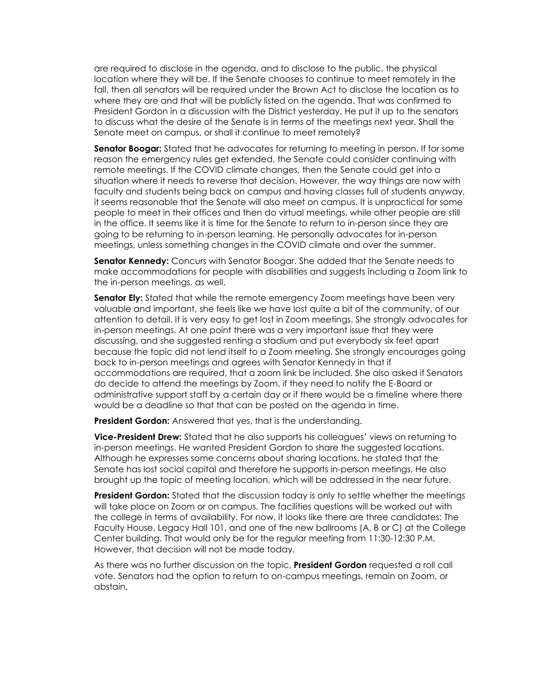are required to disclose in the agenda, and to disclose to the public, the physical location where they will be. If the Senate chooses to continue to meet remotely in the fall, then all senators will be required under the Brown Act to disclose the location as to where they are and that will be publicly listed on the agenda. That was confirmed to President Gordon in a discussion with the District yesterday. He put it up to the senators to discuss what the desire of the Senate is in terms of the meetings next year. Shall the Senate meet on campus, or shall it continue to meet remotely?

**Senator Boogar:** Stated that he advocates for returning to meeting in person. If for some reason the emergency rules get extended, the Senate could consider continuing with remote meetings. If the COVID climate changes, then the Senate could get into a situation where it needs to reverse that decision. However, the way things are now with faculty and students being back on campus and having classes full of students anyway, it seems reasonable that the Senate will also meet on campus. It is unpractical for some people to meet in their offices and then do virtual meetings, while other people are still in the office. It seems like it is time for the Senate to return to in-person since they are going to be returning to in-person learning. He personally advocates for in-person meetings, unless something changes in the COVID climate and over the summer.

**Senator Kennedy:** Concurs with Senator Boogar. She added that the Senate needs to make accommodations for people with disabilities and suggests including a Zoom link to the in-person meetings, as well.

**Senator Ely:** Stated that while the remote emergency Zoom meetings have been very valuable and important, she feels like we have lost quite a bit of the community, of our attention to detail. It is very easy to get lost in Zoom meetings. She strongly advocates for in-person meetings. At one point there was a very important issue that they were discussing, and she suggested renting a stadium and put everybody six feet apart because the topic did not lend itself to a Zoom meeting. She strongly encourages going back to in-person meetings and agrees with Senator Kennedy in that if accommodations are required, that a zoom link be included. She also asked if Senators do decide to attend the meetings by Zoom, if they need to notify the E-Board or administrative support staff by a certain day or if there would be a timeline where there would be a deadline so that that can be posted on the agenda in time.

**President Gordon:** Answered that yes, that is the understanding.

**Vice-President Drew:** Stated that he also supports his colleagues' views on returning to in-person meetings. He wanted President Gordon to share the suggested locations. Although he expresses some concerns about sharing locations, he stated that the Senate has lost social capital and therefore he supports in-person meetings. He also brought up the topic of meeting location, which will be addressed in the near future.

**President Gordon:** Stated that the discussion today is only to settle whether the meetings will take place on Zoom or on campus. The facilities questions will be worked out with the college in terms of availability. For now, it looks like there are three candidates: The Faculty House, Legacy Hall 101, and one of the new ballrooms (A, B or C) at the College Center building. That would only be for the regular meeting from 11:30-12:30 P.M. However, that decision will not be made today.

As there was no further discussion on the topic, **President Gordon** requested a roll call vote. Senators had the option to return to on-campus meetings, remain on Zoom, or abstain.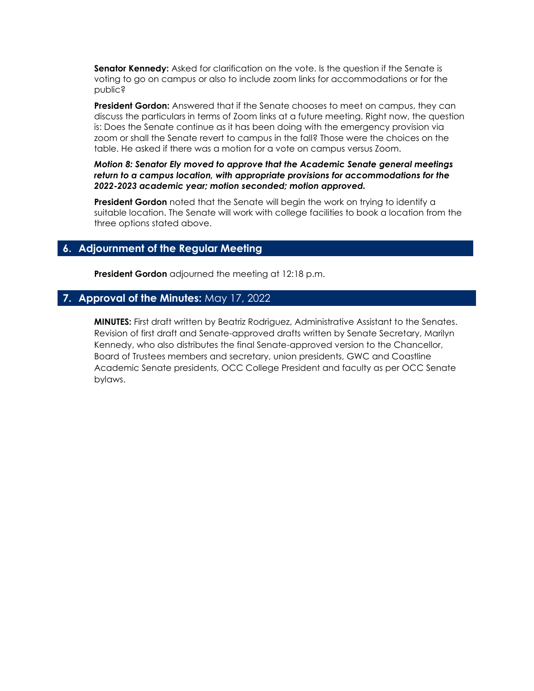**Senator Kennedy:** Asked for clarification on the vote. Is the question if the Senate is voting to go on campus or also to include zoom links for accommodations or for the public?

**President Gordon:** Answered that if the Senate chooses to meet on campus, they can discuss the particulars in terms of Zoom links at a future meeting. Right now, the question is: Does the Senate continue as it has been doing with the emergency provision via zoom or shall the Senate revert to campus in the fall? Those were the choices on the table. He asked if there was a motion for a vote on campus versus Zoom.

*Motion 8: Senator Ely moved to approve that the Academic Senate general meetings return to a campus location, with appropriate provisions for accommodations for the 2022-2023 academic year; motion seconded; motion approved.*

**President Gordon** noted that the Senate will begin the work on trying to identify a suitable location. The Senate will work with college facilities to book a location from the three options stated above.

## **6. Adjournment of the Regular Meeting**

**President Gordon** adjourned the meeting at 12:18 p.m.

## **7. Approval of the Minutes:** May 17, 2022

**MINUTES:** First draft written by Beatriz Rodriguez, Administrative Assistant to the Senates. Revision of first draft and Senate-approved drafts written by Senate Secretary, Marilyn Kennedy, who also distributes the final Senate-approved version to the Chancellor, Board of Trustees members and secretary, union presidents, GWC and Coastline Academic Senate presidents, OCC College President and faculty as per OCC Senate bylaws.